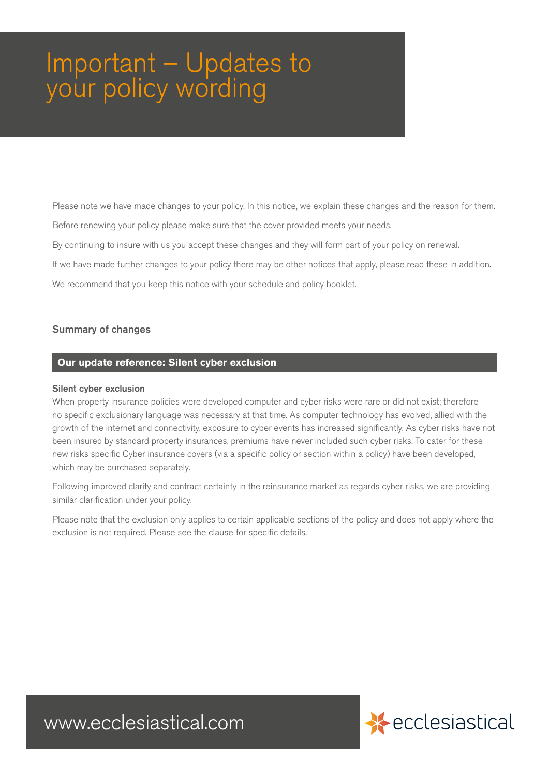## Important – Updates to your policy wording

Please note we have made changes to your policy. In this notice, we explain these changes and the reason for them.

Before renewing your policy please make sure that the cover provided meets your needs.

By continuing to insure with us you accept these changes and they will form part of your policy on renewal.

If we have made further changes to your policy there may be other notices that apply, please read these in addition.

We recommend that you keep this notice with your schedule and policy booklet.

## Summary of changes

## **Our update reference: Silent cyber exclusion**

## Silent cyber exclusion

When property insurance policies were developed computer and cyber risks were rare or did not exist; therefore no specific exclusionary language was necessary at that time. As computer technology has evolved, allied with the growth of the internet and connectivity, exposure to cyber events has increased significantly. As cyber risks have not been insured by standard property insurances, premiums have never included such cyber risks. To cater for these new risks specific Cyber insurance covers (via a specific policy or section within a policy) have been developed, which may be purchased separately.

Following improved clarity and contract certainty in the reinsurance market as regards cyber risks, we are providing similar clarification under your policy.

Please note that the exclusion only applies to certain applicable sections of the policy and does not apply where the exclusion is not required. Please see the clause for specific details.

www.ecclesiastical.com